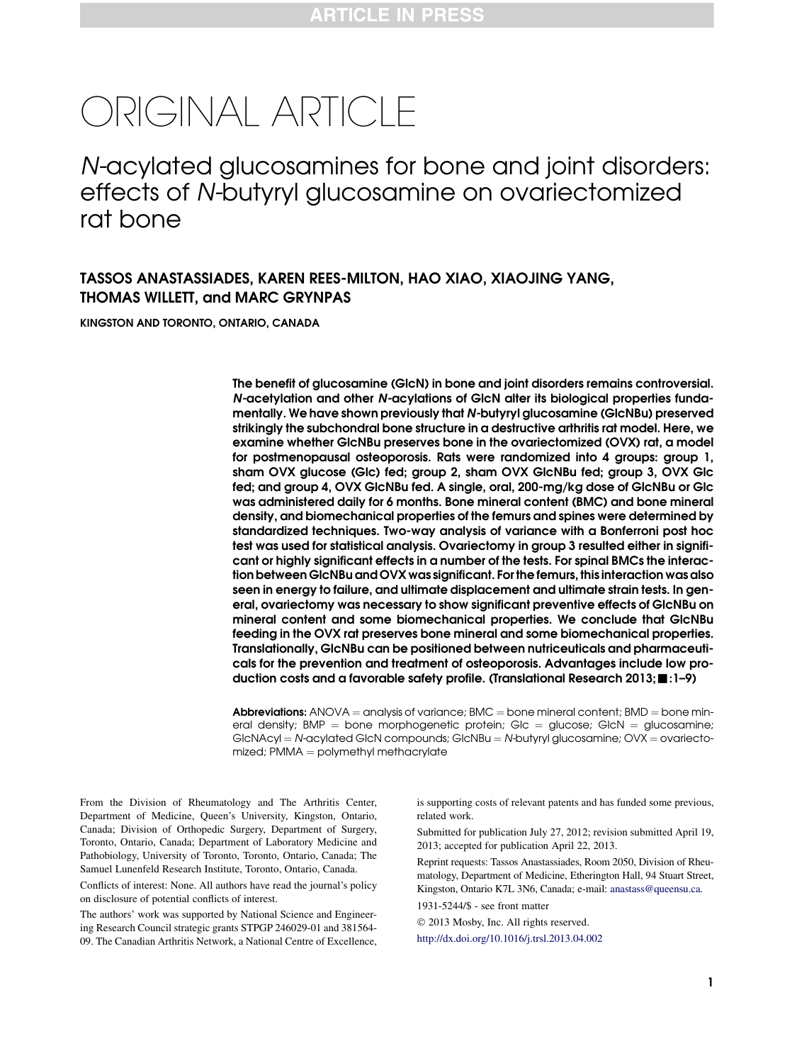# ORIGINAL ARTICLE

N-acylated glucosamines for bone and joint disorders: effects of N-butyryl glucosamine on ovariectomized rat bone

## TASSOS ANASTASSIADES, KAREN REES-MILTON, HAO XIAO, XIAOJING YANG, THOMAS WILLETT, and MARC GRYNPAS

KINGSTON AND TORONTO, ONTARIO, CANADA

The benefit of glucosamine (GlcN) in bone and joint disorders remains controversial. N-acetylation and other N-acylations of GlcN alter its biological properties fundamentally. We have shown previously that N-butyryl glucosamine (GlcNBu) preserved strikingly the subchondral bone structure in a destructive arthritis rat model. Here, we examine whether GlcNBu preserves bone in the ovariectomized (OVX) rat, a model for postmenopausal osteoporosis. Rats were randomized into 4 groups: group 1, sham OVX glucose (Glc) fed; group 2, sham OVX GlcNBu fed; group 3, OVX Glc fed; and group 4, OVX GlcNBu fed. A single, oral, 200-mg/kg dose of GlcNBu or Glc was administered daily for 6 months. Bone mineral content (BMC) and bone mineral density, and biomechanical properties of the femurs and spines were determined by standardized techniques. Two-way analysis of variance with a Bonferroni post hoc test was used for statistical analysis. Ovariectomy in group 3 resulted either in significant or highly significant effects in a number of the tests. For spinal BMCs the interaction between GlcNBu and OVX was significant. For the femurs, this interaction was also seen in energy to failure, and ultimate displacement and ultimate strain tests. In general, ovariectomy was necessary to show significant preventive effects of GlcNBu on mineral content and some biomechanical properties. We conclude that GlcNBu feeding in the OVX rat preserves bone mineral and some biomechanical properties. Translationally, GlcNBu can be positioned between nutriceuticals and pharmaceuticals for the prevention and treatment of osteoporosis. Advantages include low production costs and a favorable safety profile. (Translational Research 2013; : 1-9)

**Abbreviations:** ANOVA = analysis of variance; BMC = bone mineral content; BMD = bone mineral density;  $BMP =$  bone morphogenetic protein; Glc  $=$  glucose; GlcN  $=$  glucosamine;  $G$ lcNAcyl = N-acylated GlcN compounds; GlcNBu = N-butyryl glucosamine; OVX = ovariecto $mized$ ; PMMA  $=$  polymethyl methacrylate

From the Division of Rheumatology and The Arthritis Center, Department of Medicine, Queen's University, Kingston, Ontario, Canada; Division of Orthopedic Surgery, Department of Surgery, Toronto, Ontario, Canada; Department of Laboratory Medicine and Pathobiology, University of Toronto, Toronto, Ontario, Canada; The Samuel Lunenfeld Research Institute, Toronto, Ontario, Canada.

Conflicts of interest: None. All authors have read the journal's policy on disclosure of potential conflicts of interest.

The authors' work was supported by National Science and Engineering Research Council strategic grants STPGP 246029-01 and 381564- 09. The Canadian Arthritis Network, a National Centre of Excellence, is supporting costs of relevant patents and has funded some previous, related work.

Submitted for publication July 27, 2012; revision submitted April 19, 2013; accepted for publication April 22, 2013.

Reprint requests: Tassos Anastassiades, Room 2050, Division of Rheumatology, Department of Medicine, Etherington Hall, 94 Stuart Street, Kingston, Ontario K7L 3N6, Canada; e-mail: [anastass@queensu.ca.](mailto:anastass@queensu.ca) 1931-5244/\$ - see front matter

2013 Mosby, Inc. All rights reserved.

<http://dx.doi.org/10.1016/j.trsl.2013.04.002>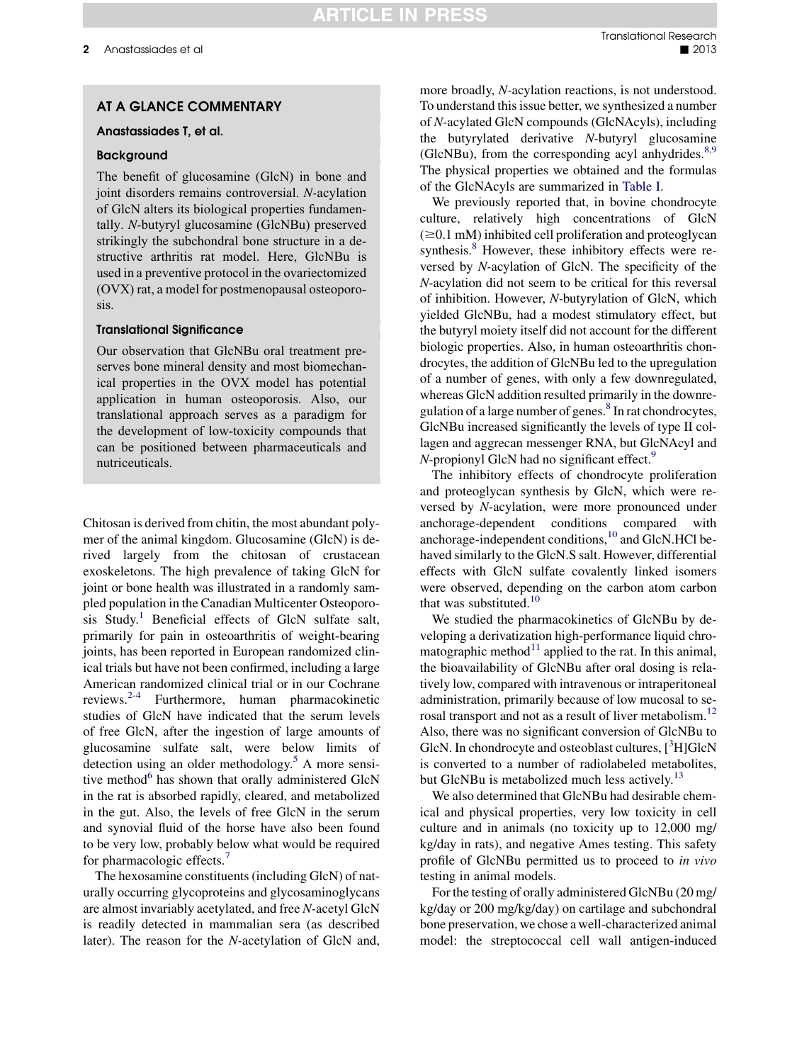### AT A GLANCE COMMENTARY

#### Anastassiades T, et al.

#### Background

The benefit of glucosamine (GlcN) in bone and joint disorders remains controversial. N-acylation of GlcN alters its biological properties fundamentally. N-butyryl glucosamine (GlcNBu) preserved strikingly the subchondral bone structure in a destructive arthritis rat model. Here, GlcNBu is used in a preventive protocol in the ovariectomized (OVX) rat, a model for postmenopausal osteoporosis.

#### Translational Significance

Our observation that GlcNBu oral treatment preserves bone mineral density and most biomechanical properties in the OVX model has potential application in human osteoporosis. Also, our translational approach serves as a paradigm for the development of low-toxicity compounds that can be positioned between pharmaceuticals and nutriceuticals.

Chitosan is derived from chitin, the most abundant polymer of the animal kingdom. Glucosamine (GlcN) is derived largely from the chitosan of crustacean exoskeletons. The high prevalence of taking GlcN for joint or bone health was illustrated in a randomly sampled population in the Canadian Multicenter Osteoporo-sis Study.<sup>[1](#page-7-0)</sup> Beneficial effects of GlcN sulfate salt, primarily for pain in osteoarthritis of weight-bearing joints, has been reported in European randomized clinical trials but have not been confirmed, including a large American randomized clinical trial or in our Cochrane reviews.[2-4](#page-7-0) Furthermore, human pharmacokinetic studies of GlcN have indicated that the serum levels of free GlcN, after the ingestion of large amounts of glucosamine sulfate salt, were below limits of detection using an older methodology.<sup>[5](#page-7-0)</sup> A more sensitive method $6$  has shown that orally administered GlcN in the rat is absorbed rapidly, cleared, and metabolized in the gut. Also, the levels of free GlcN in the serum and synovial fluid of the horse have also been found to be very low, probably below what would be required for pharmacologic effects.<sup>[7](#page-7-0)</sup>

The hexosamine constituents (including GlcN) of naturally occurring glycoproteins and glycosaminoglycans are almost invariably acetylated, and free N-acetyl GlcN is readily detected in mammalian sera (as described later). The reason for the N-acetylation of GlcN and,

more broadly, N-acylation reactions, is not understood. To understand this issue better, we synthesized a number of N-acylated GlcN compounds (GlcNAcyls), including the butyrylated derivative N-butyryl glucosamine (GlcNBu), from the corresponding acyl anhydrides. $8,9$ The physical properties we obtained and the formulas of the GlcNAcyls are summarized in [Table I](#page-2-0).

We previously reported that, in bovine chondrocyte culture, relatively high concentrations of GlcN  $(\geq 0.1 \text{ mM})$  inhibited cell proliferation and proteoglycan synthesis.<sup>[8](#page-7-0)</sup> However, these inhibitory effects were reversed by N-acylation of GlcN. The specificity of the N-acylation did not seem to be critical for this reversal of inhibition. However, N-butyrylation of GlcN, which yielded GlcNBu, had a modest stimulatory effect, but the butyryl moiety itself did not account for the different biologic properties. Also, in human osteoarthritis chondrocytes, the addition of GlcNBu led to the upregulation of a number of genes, with only a few downregulated, whereas GlcN addition resulted primarily in the downre-gulation of a large number of genes.<sup>[8](#page-7-0)</sup> In rat chondrocytes, GlcNBu increased significantly the levels of type II collagen and aggrecan messenger RNA, but GlcNAcyl and  $N$ -propionyl GlcN had no significant effect.<sup>9</sup>

The inhibitory effects of chondrocyte proliferation and proteoglycan synthesis by GlcN, which were reversed by N-acylation, were more pronounced under anchorage-dependent conditions compared with anchorage-independent conditions,[10](#page-7-0) and GlcN.HCl behaved similarly to the GlcN.S salt. However, differential effects with GlcN sulfate covalently linked isomers were observed, depending on the carbon atom carbon that was substituted.<sup>[10](#page-7-0)</sup>

We studied the pharmacokinetics of GlcNBu by developing a derivatization high-performance liquid chromatographic method $11$  applied to the rat. In this animal, the bioavailability of GlcNBu after oral dosing is relatively low, compared with intravenous or intraperitoneal administration, primarily because of low mucosal to se-rosal transport and not as a result of liver metabolism.<sup>[12](#page-7-0)</sup> Also, there was no significant conversion of GlcNBu to GlcN. In chondrocyte and osteoblast cultures, [3H]GlcN is converted to a number of radiolabeled metabolites, but GlcNBu is metabolized much less actively. $13$ 

We also determined that GlcNBu had desirable chemical and physical properties, very low toxicity in cell culture and in animals (no toxicity up to 12,000 mg/ kg/day in rats), and negative Ames testing. This safety profile of GlcNBu permitted us to proceed to in vivo testing in animal models.

For the testing of orally administered GlcNBu (20 mg/ kg/day or 200 mg/kg/day) on cartilage and subchondral bone preservation, we chose a well-characterized animal model: the streptococcal cell wall antigen-induced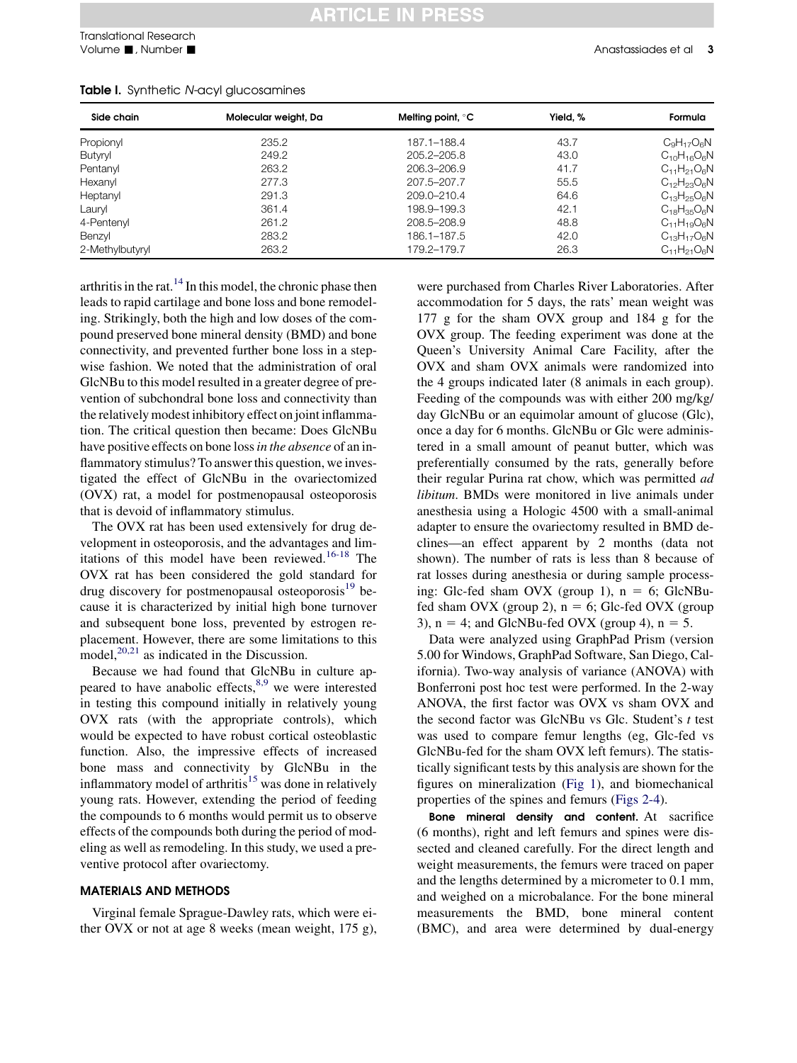| Side chain      | Molecular weight, Da | Melting point, $\degree$ C | Yield. % | Formula            |
|-----------------|----------------------|----------------------------|----------|--------------------|
| Propionyl       | 235.2                | 187.1-188.4                | 43.7     | $C_9H_{17}O_6N$    |
| Butyryl         | 249.2                | 205.2-205.8                | 43.0     | $C_{10}H_{16}O_6N$ |
| Pentanyl        | 263.2                | 206.3-206.9                | 41.7     | $C_{11}H_{21}O_6N$ |
| Hexanyl         | 277.3                | 207.5-207.7                | 55.5     | $C_{12}H_{23}O_6N$ |
| Heptanyl        | 291.3                | 209.0-210.4                | 64.6     | $C_{13}H_{25}O_6N$ |
| Lauryl          | 361.4                | 198.9-199.3                | 42.1     | $C_{18}H_{35}O_6N$ |
| 4-Pentenyl      | 261.2                | 208.5-208.9                | 48.8     | $C_{11}H_{19}O_6N$ |
| Benzyl          | 283.2                | 186.1-187.5                | 42.0     | $C_{13}H_{17}O_6N$ |
| 2-Methylbutyryl | 263.2                | 179.2-179.7                | 26.3     | $C_{11}H_{21}O_6N$ |

#### <span id="page-2-0"></span>Table I. Synthetic N-acyl glucosamines

arthritis in the rat. $^{14}$  $^{14}$  $^{14}$  In this model, the chronic phase then leads to rapid cartilage and bone loss and bone remodeling. Strikingly, both the high and low doses of the compound preserved bone mineral density (BMD) and bone connectivity, and prevented further bone loss in a stepwise fashion. We noted that the administration of oral GlcNBu to this model resulted in a greater degree of prevention of subchondral bone loss and connectivity than the relatively modest inhibitory effect on joint inflammation. The critical question then became: Does GlcNBu have positive effects on bone loss in the absence of an inflammatory stimulus? To answer this question, we investigated the effect of GlcNBu in the ovariectomized (OVX) rat, a model for postmenopausal osteoporosis that is devoid of inflammatory stimulus.

The OVX rat has been used extensively for drug development in osteoporosis, and the advantages and limitations of this model have been reviewed.[16-18](#page-7-0) The OVX rat has been considered the gold standard for drug discovery for postmenopausal osteoporosis $^{19}$  $^{19}$  $^{19}$  because it is characterized by initial high bone turnover and subsequent bone loss, prevented by estrogen replacement. However, there are some limitations to this model, $^{20,21}$  as indicated in the Discussion.

Because we had found that GlcNBu in culture appeared to have anabolic effects, $8,9$  we were interested in testing this compound initially in relatively young OVX rats (with the appropriate controls), which would be expected to have robust cortical osteoblastic function. Also, the impressive effects of increased bone mass and connectivity by GlcNBu in the inflammatory model of arthritis $15$  was done in relatively young rats. However, extending the period of feeding the compounds to 6 months would permit us to observe effects of the compounds both during the period of modeling as well as remodeling. In this study, we used a preventive protocol after ovariectomy.

#### MATERIALS AND METHODS

Virginal female Sprague-Dawley rats, which were either OVX or not at age 8 weeks (mean weight, 175 g), were purchased from Charles River Laboratories. After accommodation for 5 days, the rats' mean weight was 177 g for the sham OVX group and 184 g for the OVX group. The feeding experiment was done at the Queen's University Animal Care Facility, after the OVX and sham OVX animals were randomized into the 4 groups indicated later (8 animals in each group). Feeding of the compounds was with either 200 mg/kg/ day GlcNBu or an equimolar amount of glucose (Glc), once a day for 6 months. GlcNBu or Glc were administered in a small amount of peanut butter, which was preferentially consumed by the rats, generally before their regular Purina rat chow, which was permitted ad libitum. BMDs were monitored in live animals under anesthesia using a Hologic 4500 with a small-animal adapter to ensure the ovariectomy resulted in BMD declines—an effect apparent by 2 months (data not shown). The number of rats is less than 8 because of rat losses during anesthesia or during sample processing: Glc-fed sham OVX (group 1),  $n = 6$ ; GlcNBufed sham OVX (group 2),  $n = 6$ ; Glc-fed OVX (group 3),  $n = 4$ ; and GlcNBu-fed OVX (group 4),  $n = 5$ .

Data were analyzed using GraphPad Prism (version 5.00 for Windows, GraphPad Software, San Diego, California). Two-way analysis of variance (ANOVA) with Bonferroni post hoc test were performed. In the 2-way ANOVA, the first factor was OVX vs sham OVX and the second factor was GlcNBu vs Glc. Student's t test was used to compare femur lengths (eg, Glc-fed vs GlcNBu-fed for the sham OVX left femurs). The statistically significant tests by this analysis are shown for the figures on mineralization [\(Fig 1\)](#page-3-0), and biomechanical properties of the spines and femurs ([Figs 2-4\)](#page-3-0).

Bone mineral density and content. At sacrifice (6 months), right and left femurs and spines were dissected and cleaned carefully. For the direct length and weight measurements, the femurs were traced on paper and the lengths determined by a micrometer to 0.1 mm, and weighed on a microbalance. For the bone mineral measurements the BMD, bone mineral content (BMC), and area were determined by dual-energy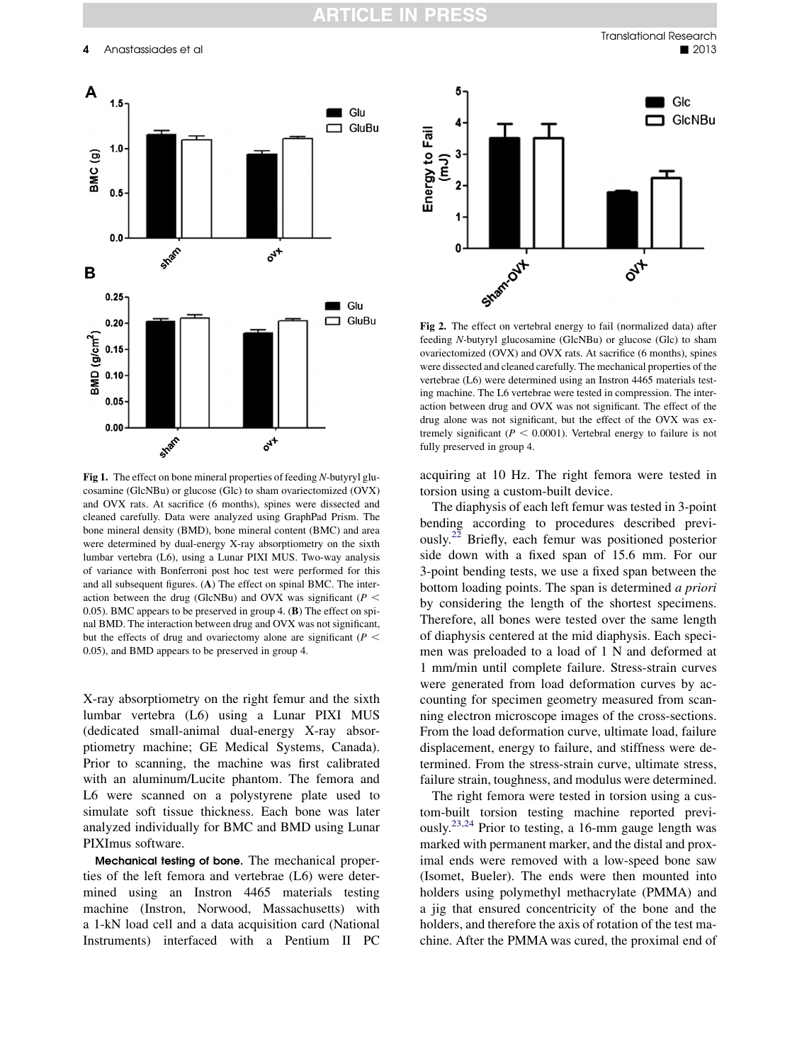<span id="page-3-0"></span>

Fig 1. The effect on bone mineral properties of feeding N-butyryl glucosamine (GlcNBu) or glucose (Glc) to sham ovariectomized (OVX) and OVX rats. At sacrifice (6 months), spines were dissected and cleaned carefully. Data were analyzed using GraphPad Prism. The bone mineral density (BMD), bone mineral content (BMC) and area were determined by dual-energy X-ray absorptiometry on the sixth lumbar vertebra (L6), using a Lunar PIXI MUS. Two-way analysis of variance with Bonferroni post hoc test were performed for this and all subsequent figures. (A) The effect on spinal BMC. The interaction between the drug (GlcNBu) and OVX was significant ( $P <$ 0.05). BMC appears to be preserved in group 4. (B) The effect on spinal BMD. The interaction between drug and OVX was not significant, but the effects of drug and ovariectomy alone are significant ( $P \leq$ 0.05), and BMD appears to be preserved in group 4.

X-ray absorptiometry on the right femur and the sixth lumbar vertebra (L6) using a Lunar PIXI MUS (dedicated small-animal dual-energy X-ray absorptiometry machine; GE Medical Systems, Canada). Prior to scanning, the machine was first calibrated with an aluminum/Lucite phantom. The femora and L6 were scanned on a polystyrene plate used to simulate soft tissue thickness. Each bone was later analyzed individually for BMC and BMD using Lunar PIXImus software.

Mechanical testing of bone. The mechanical properties of the left femora and vertebrae (L6) were determined using an Instron 4465 materials testing machine (Instron, Norwood, Massachusetts) with a 1-kN load cell and a data acquisition card (National Instruments) interfaced with a Pentium II PC



Fig 2. The effect on vertebral energy to fail (normalized data) after feeding N-butyryl glucosamine (GlcNBu) or glucose (Glc) to sham ovariectomized (OVX) and OVX rats. At sacrifice (6 months), spines were dissected and cleaned carefully. The mechanical properties of the vertebrae (L6) were determined using an Instron 4465 materials testing machine. The L6 vertebrae were tested in compression. The interaction between drug and OVX was not significant. The effect of the drug alone was not significant, but the effect of the OVX was extremely significant ( $P < 0.0001$ ). Vertebral energy to failure is not fully preserved in group 4.

acquiring at 10 Hz. The right femora were tested in torsion using a custom-built device.

The diaphysis of each left femur was tested in 3-point bending according to procedures described previously.[22](#page-8-0) Briefly, each femur was positioned posterior side down with a fixed span of 15.6 mm. For our 3-point bending tests, we use a fixed span between the bottom loading points. The span is determined a priori by considering the length of the shortest specimens. Therefore, all bones were tested over the same length of diaphysis centered at the mid diaphysis. Each specimen was preloaded to a load of 1 N and deformed at 1 mm/min until complete failure. Stress-strain curves were generated from load deformation curves by accounting for specimen geometry measured from scanning electron microscope images of the cross-sections. From the load deformation curve, ultimate load, failure displacement, energy to failure, and stiffness were determined. From the stress-strain curve, ultimate stress, failure strain, toughness, and modulus were determined.

The right femora were tested in torsion using a custom-built torsion testing machine reported previ-ously.<sup>[23,24](#page-8-0)</sup> Prior to testing, a 16-mm gauge length was marked with permanent marker, and the distal and proximal ends were removed with a low-speed bone saw (Isomet, Bueler). The ends were then mounted into holders using polymethyl methacrylate (PMMA) and a jig that ensured concentricity of the bone and the holders, and therefore the axis of rotation of the test machine. After the PMMA was cured, the proximal end of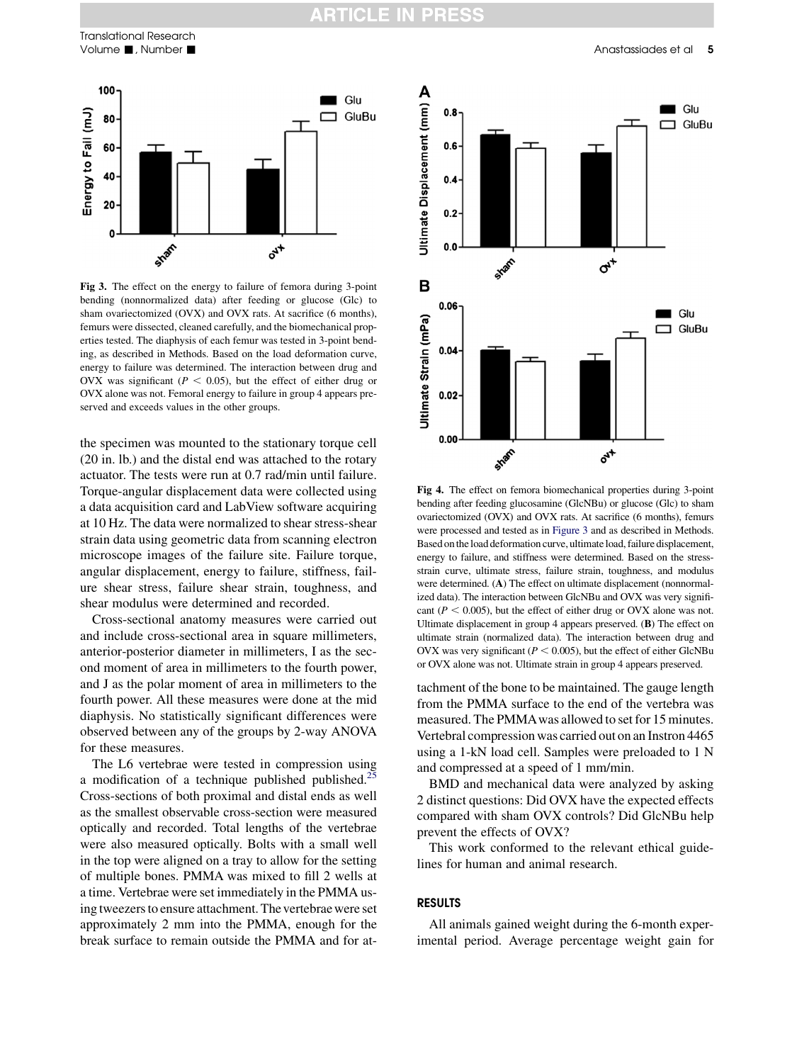<span id="page-4-0"></span>

Fig 3. The effect on the energy to failure of femora during 3-point bending (nonnormalized data) after feeding or glucose (Glc) to sham ovariectomized (OVX) and OVX rats. At sacrifice (6 months), femurs were dissected, cleaned carefully, and the biomechanical properties tested. The diaphysis of each femur was tested in 3-point bending, as described in Methods. Based on the load deformation curve, energy to failure was determined. The interaction between drug and OVX was significant ( $P < 0.05$ ), but the effect of either drug or OVX alone was not. Femoral energy to failure in group 4 appears preserved and exceeds values in the other groups.

the specimen was mounted to the stationary torque cell (20 in. lb.) and the distal end was attached to the rotary actuator. The tests were run at 0.7 rad/min until failure. Torque-angular displacement data were collected using a data acquisition card and LabView software acquiring at 10 Hz. The data were normalized to shear stress-shear strain data using geometric data from scanning electron microscope images of the failure site. Failure torque, angular displacement, energy to failure, stiffness, failure shear stress, failure shear strain, toughness, and shear modulus were determined and recorded.

Cross-sectional anatomy measures were carried out and include cross-sectional area in square millimeters, anterior-posterior diameter in millimeters, I as the second moment of area in millimeters to the fourth power, and J as the polar moment of area in millimeters to the fourth power. All these measures were done at the mid diaphysis. No statistically significant differences were observed between any of the groups by 2-way ANOVA for these measures.

The L6 vertebrae were tested in compression using a modification of a technique published published.<sup>2</sup> Cross-sections of both proximal and distal ends as well as the smallest observable cross-section were measured optically and recorded. Total lengths of the vertebrae were also measured optically. Bolts with a small well in the top were aligned on a tray to allow for the setting of multiple bones. PMMA was mixed to fill 2 wells at a time. Vertebrae were set immediately in the PMMA using tweezers to ensure attachment. The vertebrae were set approximately 2 mm into the PMMA, enough for the break surface to remain outside the PMMA and for at-



Fig 4. The effect on femora biomechanical properties during 3-point bending after feeding glucosamine (GlcNBu) or glucose (Glc) to sham ovariectomized (OVX) and OVX rats. At sacrifice (6 months), femurs were processed and tested as in Figure 3 and as described in Methods. Based ontheload deformation curve, ultimateload, failure displacement, energy to failure, and stiffness were determined. Based on the stressstrain curve, ultimate stress, failure strain, toughness, and modulus were determined. (A) The effect on ultimate displacement (nonnormalized data). The interaction between GlcNBu and OVX was very significant ( $P < 0.005$ ), but the effect of either drug or OVX alone was not. Ultimate displacement in group 4 appears preserved. (B) The effect on ultimate strain (normalized data). The interaction between drug and OVX was very significant ( $P < 0.005$ ), but the effect of either GlcNBu or OVX alone was not. Ultimate strain in group 4 appears preserved.

tachment of the bone to be maintained. The gauge length from the PMMA surface to the end of the vertebra was measured. The PMMAwas allowed to set for 15 minutes. Vertebral compression was carried out on an Instron 4465 using a 1-kN load cell. Samples were preloaded to 1 N and compressed at a speed of 1 mm/min.

BMD and mechanical data were analyzed by asking 2 distinct questions: Did OVX have the expected effects compared with sham OVX controls? Did GlcNBu help prevent the effects of OVX?

This work conformed to the relevant ethical guidelines for human and animal research.

#### RESULTS

All animals gained weight during the 6-month experimental period. Average percentage weight gain for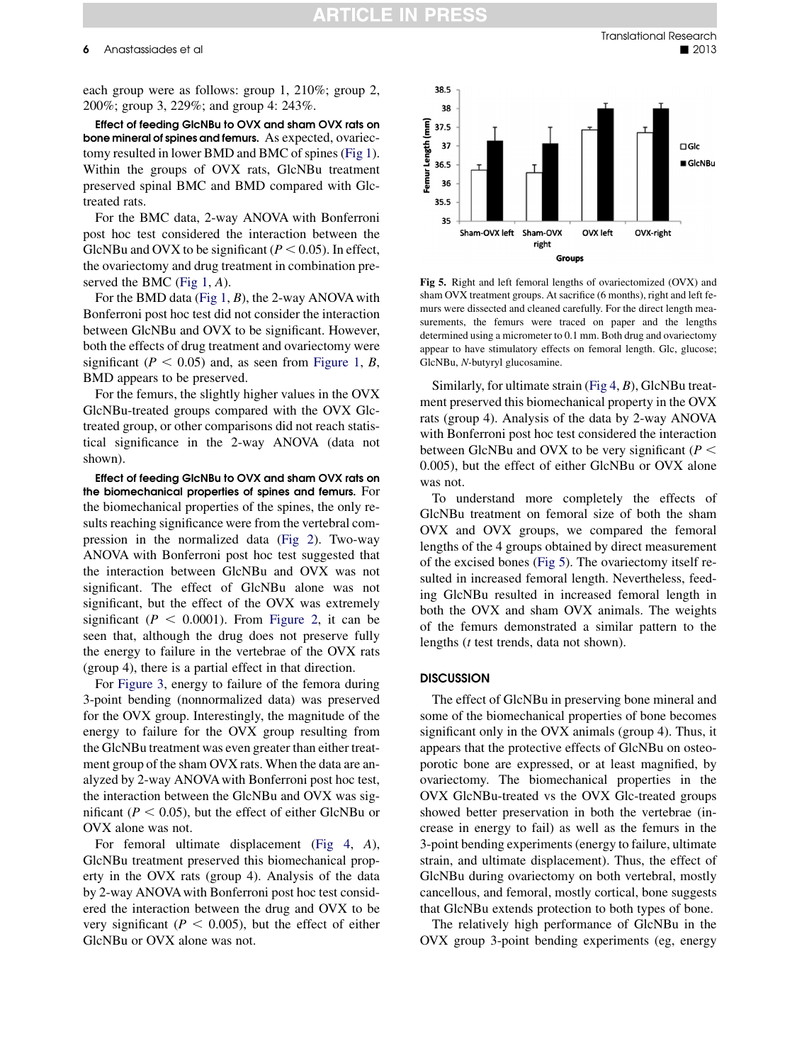<span id="page-5-0"></span>each group were as follows: group 1, 210%; group 2, 200%; group 3, 229%; and group 4: 243%.

Effect of feeding GlcNBu to OVX and sham OVX rats on bone mineral of spines and femurs. As expected, ovariectomy resulted in lower BMD and BMC of spines [\(Fig 1](#page-3-0)). Within the groups of OVX rats, GlcNBu treatment preserved spinal BMC and BMD compared with Glctreated rats.

For the BMC data, 2-way ANOVA with Bonferroni post hoc test considered the interaction between the GlcNBu and OVX to be significant ( $P < 0.05$ ). In effect, the ovariectomy and drug treatment in combination pre-served the BMC [\(Fig 1](#page-3-0), A).

For the BMD data (Fig  $1, B$ ), the 2-way ANOVA with Bonferroni post hoc test did not consider the interaction between GlcNBu and OVX to be significant. However, both the effects of drug treatment and ovariectomy were significant ( $P < 0.05$ ) and, as seen from [Figure 1](#page-3-0), B, BMD appears to be preserved.

For the femurs, the slightly higher values in the OVX GlcNBu-treated groups compared with the OVX Glctreated group, or other comparisons did not reach statistical significance in the 2-way ANOVA (data not shown).

Effect of feeding GlcNBu to OVX and sham OVX rats on the biomechanical properties of spines and femurs. For the biomechanical properties of the spines, the only results reaching significance were from the vertebral compression in the normalized data ([Fig 2\)](#page-3-0). Two-way ANOVA with Bonferroni post hoc test suggested that the interaction between GlcNBu and OVX was not significant. The effect of GlcNBu alone was not significant, but the effect of the OVX was extremely significant ( $P < 0.0001$ ). From [Figure 2,](#page-3-0) it can be seen that, although the drug does not preserve fully the energy to failure in the vertebrae of the OVX rats (group 4), there is a partial effect in that direction.

For [Figure 3](#page-4-0), energy to failure of the femora during 3-point bending (nonnormalized data) was preserved for the OVX group. Interestingly, the magnitude of the energy to failure for the OVX group resulting from the GlcNBu treatment was even greater than either treatment group of the sham OVX rats. When the data are analyzed by 2-way ANOVA with Bonferroni post hoc test, the interaction between the GlcNBu and OVX was significant ( $P < 0.05$ ), but the effect of either GlcNBu or OVX alone was not.

For femoral ultimate displacement [\(Fig 4](#page-4-0), A), GlcNBu treatment preserved this biomechanical property in the OVX rats (group 4). Analysis of the data by 2-way ANOVA with Bonferroni post hoc test considered the interaction between the drug and OVX to be very significant ( $P < 0.005$ ), but the effect of either GlcNBu or OVX alone was not.



Fig 5. Right and left femoral lengths of ovariectomized (OVX) and sham OVX treatment groups. At sacrifice (6 months), right and left femurs were dissected and cleaned carefully. For the direct length measurements, the femurs were traced on paper and the lengths determined using a micrometer to 0.1 mm. Both drug and ovariectomy appear to have stimulatory effects on femoral length. Glc, glucose; GlcNBu, N-butyryl glucosamine.

Similarly, for ultimate strain  $(Fig 4, B)$  $(Fig 4, B)$ , GlcNBu treatment preserved this biomechanical property in the OVX rats (group 4). Analysis of the data by 2-way ANOVA with Bonferroni post hoc test considered the interaction between GlcNBu and OVX to be very significant ( $P <$ 0.005), but the effect of either GlcNBu or OVX alone was not.

To understand more completely the effects of GlcNBu treatment on femoral size of both the sham OVX and OVX groups, we compared the femoral lengths of the 4 groups obtained by direct measurement of the excised bones (Fig 5). The ovariectomy itself resulted in increased femoral length. Nevertheless, feeding GlcNBu resulted in increased femoral length in both the OVX and sham OVX animals. The weights of the femurs demonstrated a similar pattern to the lengths (t test trends, data not shown).

#### **DISCUSSION**

The effect of GlcNBu in preserving bone mineral and some of the biomechanical properties of bone becomes significant only in the OVX animals (group 4). Thus, it appears that the protective effects of GlcNBu on osteoporotic bone are expressed, or at least magnified, by ovariectomy. The biomechanical properties in the OVX GlcNBu-treated vs the OVX Glc-treated groups showed better preservation in both the vertebrae (increase in energy to fail) as well as the femurs in the 3-point bending experiments (energy to failure, ultimate strain, and ultimate displacement). Thus, the effect of GlcNBu during ovariectomy on both vertebral, mostly cancellous, and femoral, mostly cortical, bone suggests that GlcNBu extends protection to both types of bone.

The relatively high performance of GlcNBu in the OVX group 3-point bending experiments (eg, energy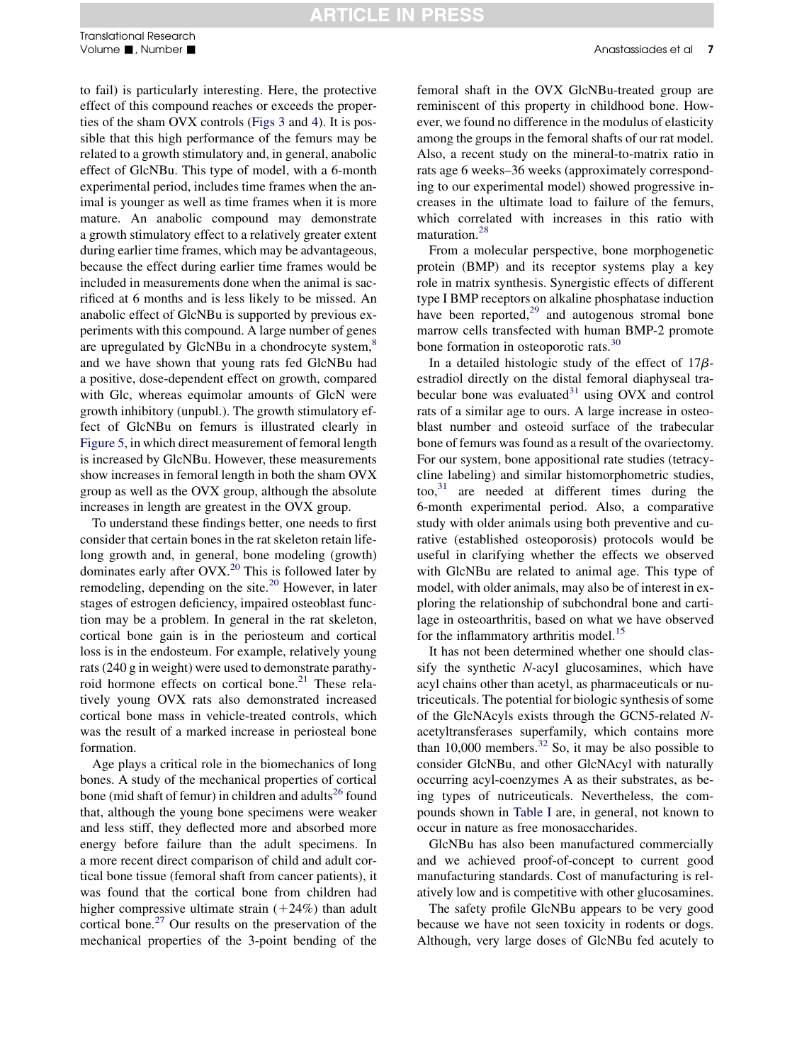## **ARTICLE IN PRESS**

to fail) is particularly interesting. Here, the protective effect of this compound reaches or exceeds the properties of the sham OVX controls ([Figs 3](#page-4-0) and [4](#page-4-0)). It is possible that this high performance of the femurs may be related to a growth stimulatory and, in general, anabolic effect of GlcNBu. This type of model, with a 6-month experimental period, includes time frames when the animal is younger as well as time frames when it is more mature. An anabolic compound may demonstrate a growth stimulatory effect to a relatively greater extent during earlier time frames, which may be advantageous, because the effect during earlier time frames would be included in measurements done when the animal is sacrificed at 6 months and is less likely to be missed. An anabolic effect of GlcNBu is supported by previous experiments with this compound. A large number of genes are upregulated by GlcNBu in a chondrocyte system,<sup>[8](#page-7-0)</sup> and we have shown that young rats fed GlcNBu had a positive, dose-dependent effect on growth, compared with Glc, whereas equimolar amounts of GlcN were growth inhibitory (unpubl.). The growth stimulatory effect of GlcNBu on femurs is illustrated clearly in [Figure 5,](#page-5-0) in which direct measurement of femoral length is increased by GlcNBu. However, these measurements show increases in femoral length in both the sham OVX group as well as the OVX group, although the absolute increases in length are greatest in the OVX group.

To understand these findings better, one needs to first consider that certain bones in the rat skeleton retain lifelong growth and, in general, bone modeling (growth) dominates early after  $O\frac{V}{X}$ <sup>[20](#page-8-0)</sup> This is followed later by remodeling, depending on the site. $^{20}$  $^{20}$  $^{20}$  However, in later stages of estrogen deficiency, impaired osteoblast function may be a problem. In general in the rat skeleton, cortical bone gain is in the periosteum and cortical loss is in the endosteum. For example, relatively young rats (240 g in weight) were used to demonstrate parathyroid hormone effects on cortical bone. $21$  These relatively young OVX rats also demonstrated increased cortical bone mass in vehicle-treated controls, which was the result of a marked increase in periosteal bone formation.

Age plays a critical role in the biomechanics of long bones. A study of the mechanical properties of cortical bone (mid shaft of femur) in children and adults<sup>26</sup> found that, although the young bone specimens were weaker and less stiff, they deflected more and absorbed more energy before failure than the adult specimens. In a more recent direct comparison of child and adult cortical bone tissue (femoral shaft from cancer patients), it was found that the cortical bone from children had higher compressive ultimate strain  $(+24%)$  than adult cortical bone.<sup>[27](#page-8-0)</sup> Our results on the preservation of the mechanical properties of the 3-point bending of the

femoral shaft in the OVX GlcNBu-treated group are reminiscent of this property in childhood bone. However, we found no difference in the modulus of elasticity among the groups in the femoral shafts of our rat model. Also, a recent study on the mineral-to-matrix ratio in

rats age 6 weeks–36 weeks (approximately corresponding to our experimental model) showed progressive increases in the ultimate load to failure of the femurs, which correlated with increases in this ratio with maturation.<sup>[28](#page-8-0)</sup>

From a molecular perspective, bone morphogenetic protein (BMP) and its receptor systems play a key role in matrix synthesis. Synergistic effects of different type I BMP receptors on alkaline phosphatase induction have been reported, $^{29}$  $^{29}$  $^{29}$  and autogenous stromal bone marrow cells transfected with human BMP-2 promote bone formation in osteoporotic rats.<sup>[30](#page-8-0)</sup>

In a detailed histologic study of the effect of  $17\beta$ estradiol directly on the distal femoral diaphyseal trabecular bone was evaluated $31$  using OVX and control rats of a similar age to ours. A large increase in osteoblast number and osteoid surface of the trabecular bone of femurs was found as a result of the ovariectomy. For our system, bone appositional rate studies (tetracycline labeling) and similar histomorphometric studies, too, $31$  are needed at different times during the 6-month experimental period. Also, a comparative study with older animals using both preventive and curative (established osteoporosis) protocols would be useful in clarifying whether the effects we observed with GlcNBu are related to animal age. This type of model, with older animals, may also be of interest in exploring the relationship of subchondral bone and cartilage in osteoarthritis, based on what we have observed for the inflammatory arthritis model.<sup>[15](#page-7-0)</sup>

It has not been determined whether one should classify the synthetic N-acyl glucosamines, which have acyl chains other than acetyl, as pharmaceuticals or nutriceuticals. The potential for biologic synthesis of some of the GlcNAcyls exists through the GCN5-related Nacetyltransferases superfamily, which contains more than 10,000 members.<sup>[32](#page-8-0)</sup> So, it may be also possible to consider GlcNBu, and other GlcNAcyl with naturally occurring acyl-coenzymes A as their substrates, as being types of nutriceuticals. Nevertheless, the compounds shown in [Table I](#page-2-0) are, in general, not known to occur in nature as free monosaccharides.

GlcNBu has also been manufactured commercially and we achieved proof-of-concept to current good manufacturing standards. Cost of manufacturing is relatively low and is competitive with other glucosamines.

The safety profile GlcNBu appears to be very good because we have not seen toxicity in rodents or dogs. Although, very large doses of GlcNBu fed acutely to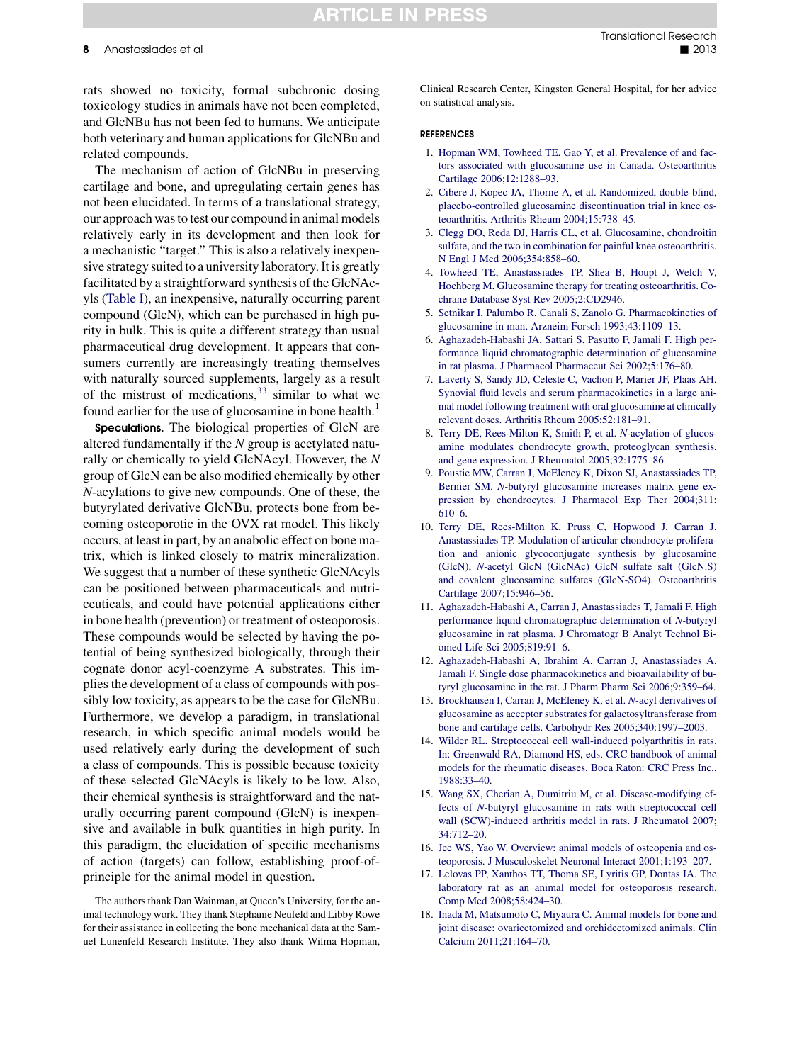## **ARTICLE IN PRESS**

<span id="page-7-0"></span>rats showed no toxicity, formal subchronic dosing toxicology studies in animals have not been completed, and GlcNBu has not been fed to humans. We anticipate both veterinary and human applications for GlcNBu and related compounds.

The mechanism of action of GlcNBu in preserving cartilage and bone, and upregulating certain genes has not been elucidated. In terms of a translational strategy, our approach was to test our compound in animal models relatively early in its development and then look for a mechanistic "target." This is also a relatively inexpensive strategy suited to a university laboratory. It is greatly facilitated by a straightforward synthesis of the GlcNAcyls [\(Table I](#page-2-0)), an inexpensive, naturally occurring parent compound (GlcN), which can be purchased in high purity in bulk. This is quite a different strategy than usual pharmaceutical drug development. It appears that consumers currently are increasingly treating themselves with naturally sourced supplements, largely as a result of the mistrust of medications,  $33 \sin \theta$  $33 \sin \theta$  is to what we found earlier for the use of glucosamine in bone health.<sup>1</sup>

Speculations. The biological properties of GlcN are altered fundamentally if the  $N$  group is acetylated naturally or chemically to yield GlcNAcyl. However, the N group of GlcN can be also modified chemically by other N-acylations to give new compounds. One of these, the butyrylated derivative GlcNBu, protects bone from becoming osteoporotic in the OVX rat model. This likely occurs, at least in part, by an anabolic effect on bone matrix, which is linked closely to matrix mineralization. We suggest that a number of these synthetic GlcNAcyls can be positioned between pharmaceuticals and nutriceuticals, and could have potential applications either in bone health (prevention) or treatment of osteoporosis. These compounds would be selected by having the potential of being synthesized biologically, through their cognate donor acyl-coenzyme A substrates. This implies the development of a class of compounds with possibly low toxicity, as appears to be the case for GlcNBu. Furthermore, we develop a paradigm, in translational research, in which specific animal models would be used relatively early during the development of such a class of compounds. This is possible because toxicity of these selected GlcNAcyls is likely to be low. Also, their chemical synthesis is straightforward and the naturally occurring parent compound (GlcN) is inexpensive and available in bulk quantities in high purity. In this paradigm, the elucidation of specific mechanisms of action (targets) can follow, establishing proof-ofprinciple for the animal model in question.

The authors thank Dan Wainman, at Queen's University, for the animal technology work. They thank Stephanie Neufeld and Libby Rowe for their assistance in collecting the bone mechanical data at the Samuel Lunenfeld Research Institute. They also thank Wilma Hopman,

Clinical Research Center, Kingston General Hospital, for her advice on statistical analysis.

#### REFERENCES

- 1. [Hopman WM, Towheed TE, Gao Y, et al. Prevalence of and fac](http://refhub.elsevier.com/S1931-5244(13)00137-0/sref1)[tors associated with glucosamine use in Canada. Osteoarthritis](http://refhub.elsevier.com/S1931-5244(13)00137-0/sref1) [Cartilage 2006;12:1288–93](http://refhub.elsevier.com/S1931-5244(13)00137-0/sref1).
- 2. [Cibere J, Kopec JA, Thorne A, et al. Randomized, double-blind,](http://refhub.elsevier.com/S1931-5244(13)00137-0/sref2) [placebo-controlled glucosamine discontinuation trial in knee os](http://refhub.elsevier.com/S1931-5244(13)00137-0/sref2)[teoarthritis. Arthritis Rheum 2004;15:738–45](http://refhub.elsevier.com/S1931-5244(13)00137-0/sref2).
- 3. [Clegg DO, Reda DJ, Harris CL, et al. Glucosamine, chondroitin](http://refhub.elsevier.com/S1931-5244(13)00137-0/sref3) [sulfate, and the two in combination for painful knee osteoarthritis.](http://refhub.elsevier.com/S1931-5244(13)00137-0/sref3) [N Engl J Med 2006;354:858–60](http://refhub.elsevier.com/S1931-5244(13)00137-0/sref3).
- 4. [Towheed TE, Anastassiades TP, Shea B, Houpt J, Welch V,](http://refhub.elsevier.com/S1931-5244(13)00137-0/sref4) [Hochberg M. Glucosamine therapy for treating osteoarthritis. Co](http://refhub.elsevier.com/S1931-5244(13)00137-0/sref4)[chrane Database Syst Rev 2005;2:CD2946.](http://refhub.elsevier.com/S1931-5244(13)00137-0/sref4)
- 5. [Setnikar I, Palumbo R, Canali S, Zanolo G. Pharmacokinetics of](http://refhub.elsevier.com/S1931-5244(13)00137-0/sref5) [glucosamine in man. Arzneim Forsch 1993;43:1109–13.](http://refhub.elsevier.com/S1931-5244(13)00137-0/sref5)
- 6. [Aghazadeh-Habashi JA, Sattari S, Pasutto F, Jamali F. High per](http://refhub.elsevier.com/S1931-5244(13)00137-0/sref6)[formance liquid chromatographic determination of glucosamine](http://refhub.elsevier.com/S1931-5244(13)00137-0/sref6) [in rat plasma. J Pharmacol Pharmaceut Sci 2002;5:176–80.](http://refhub.elsevier.com/S1931-5244(13)00137-0/sref6)
- 7. [Laverty S, Sandy JD, Celeste C, Vachon P, Marier JF, Plaas AH.](http://refhub.elsevier.com/S1931-5244(13)00137-0/sref7) [Synovial fluid levels and serum pharmacokinetics in a large ani](http://refhub.elsevier.com/S1931-5244(13)00137-0/sref7)[mal model following treatment with oral glucosamine at clinically](http://refhub.elsevier.com/S1931-5244(13)00137-0/sref7) [relevant doses. Arthritis Rheum 2005;52:181–91.](http://refhub.elsevier.com/S1931-5244(13)00137-0/sref7)
- 8. [Terry DE, Rees-Milton K, Smith P, et al.](http://refhub.elsevier.com/S1931-5244(13)00137-0/sref8) N-acylation of glucos[amine modulates chondrocyte growth, proteoglycan synthesis,](http://refhub.elsevier.com/S1931-5244(13)00137-0/sref8) [and gene expression. J Rheumatol 2005;32:1775–86.](http://refhub.elsevier.com/S1931-5244(13)00137-0/sref8)
- 9. [Poustie MW, Carran J, McEleney K, Dixon SJ, Anastassiades TP,](http://refhub.elsevier.com/S1931-5244(13)00137-0/sref9) Bernier SM. N-[butyryl glucosamine increases matrix gene ex](http://refhub.elsevier.com/S1931-5244(13)00137-0/sref9)[pression by chondrocytes. J Pharmacol Exp Ther 2004;311:](http://refhub.elsevier.com/S1931-5244(13)00137-0/sref9) [610–6.](http://refhub.elsevier.com/S1931-5244(13)00137-0/sref9)
- 10. [Terry DE, Rees-Milton K, Pruss C, Hopwood J, Carran J,](http://refhub.elsevier.com/S1931-5244(13)00137-0/sref10) [Anastassiades TP. Modulation of articular chondrocyte prolifera](http://refhub.elsevier.com/S1931-5244(13)00137-0/sref10)[tion and anionic glycoconjugate synthesis by glucosamine](http://refhub.elsevier.com/S1931-5244(13)00137-0/sref10) (GlcN), N-[acetyl GlcN \(GlcNAc\) GlcN sulfate salt \(GlcN.S\)](http://refhub.elsevier.com/S1931-5244(13)00137-0/sref10) [and covalent glucosamine sulfates \(GlcN](http://refhub.elsevier.com/S1931-5244(13)00137-0/sref10)-SO4). Osteoarthritis [Cartilage 2007;15:946–56](http://refhub.elsevier.com/S1931-5244(13)00137-0/sref10).
- 11. [Aghazadeh-Habashi A, Carran J, Anastassiades T, Jamali F. High](http://refhub.elsevier.com/S1931-5244(13)00137-0/sref11) [performance liquid chromatographic determination of](http://refhub.elsevier.com/S1931-5244(13)00137-0/sref11) N-butyryl [glucosamine in rat plasma. J Chromatogr B Analyt Technol Bi](http://refhub.elsevier.com/S1931-5244(13)00137-0/sref11)[omed Life Sci 2005;819:91–6.](http://refhub.elsevier.com/S1931-5244(13)00137-0/sref11)
- 12. [Aghazadeh-Habashi A, Ibrahim A, Carran J, Anastassiades A,](http://refhub.elsevier.com/S1931-5244(13)00137-0/sref12) [Jamali F. Single dose pharmacokinetics and bioavailability of bu](http://refhub.elsevier.com/S1931-5244(13)00137-0/sref12)[tyryl glucosamine in the rat. J Pharm Pharm Sci 2006;9:359–64.](http://refhub.elsevier.com/S1931-5244(13)00137-0/sref12)
- 13. [Brockhausen I, Carran J, McEleney K, et al.](http://refhub.elsevier.com/S1931-5244(13)00137-0/sref13) N-acyl derivatives of [glucosamine as acceptor substrates for galactosyltransferase from](http://refhub.elsevier.com/S1931-5244(13)00137-0/sref13) [bone and cartilage cells. Carbohydr Res 2005;340:1997–2003](http://refhub.elsevier.com/S1931-5244(13)00137-0/sref13).
- 14. [Wilder RL. Streptococcal cell wall-induced polyarthritis in rats.](http://refhub.elsevier.com/S1931-5244(13)00137-0/sref14) [In: Greenwald RA, Diamond HS, eds. CRC handbook of animal](http://refhub.elsevier.com/S1931-5244(13)00137-0/sref14) [models for the rheumatic diseases. Boca Raton: CRC Press Inc.,](http://refhub.elsevier.com/S1931-5244(13)00137-0/sref14) [1988:33–40.](http://refhub.elsevier.com/S1931-5244(13)00137-0/sref14)
- 15. [Wang SX, Cherian A, Dumitriu M, et al. Disease-modifying ef](http://refhub.elsevier.com/S1931-5244(13)00137-0/sref15)fects of N-[butyryl glucosamine in rats with streptococcal cell](http://refhub.elsevier.com/S1931-5244(13)00137-0/sref15) [wall \(SCW\)-induced arthritis model in rats. J Rheumatol 2007;](http://refhub.elsevier.com/S1931-5244(13)00137-0/sref15) [34:712–20.](http://refhub.elsevier.com/S1931-5244(13)00137-0/sref15)
- 16. [Jee WS, Yao W. Overview: animal models of osteopenia and os](http://refhub.elsevier.com/S1931-5244(13)00137-0/sref16)[teoporosis. J Musculoskelet Neuronal Interact 2001;1:193–207](http://refhub.elsevier.com/S1931-5244(13)00137-0/sref16).
- 17. [Lelovas PP, Xanthos TT, Thoma SE, Lyritis GP, Dontas IA. The](http://refhub.elsevier.com/S1931-5244(13)00137-0/sref17) [laboratory rat as an animal model for osteoporosis research.](http://refhub.elsevier.com/S1931-5244(13)00137-0/sref17) [Comp Med 2008;58:424–30](http://refhub.elsevier.com/S1931-5244(13)00137-0/sref17).
- 18. [Inada M, Matsumoto C, Miyaura C. Animal models for bone and](http://refhub.elsevier.com/S1931-5244(13)00137-0/sref18) [joint disease: ovariectomized and orchidectomized animals. Clin](http://refhub.elsevier.com/S1931-5244(13)00137-0/sref18) [Calcium 2011;21:164–70](http://refhub.elsevier.com/S1931-5244(13)00137-0/sref18).